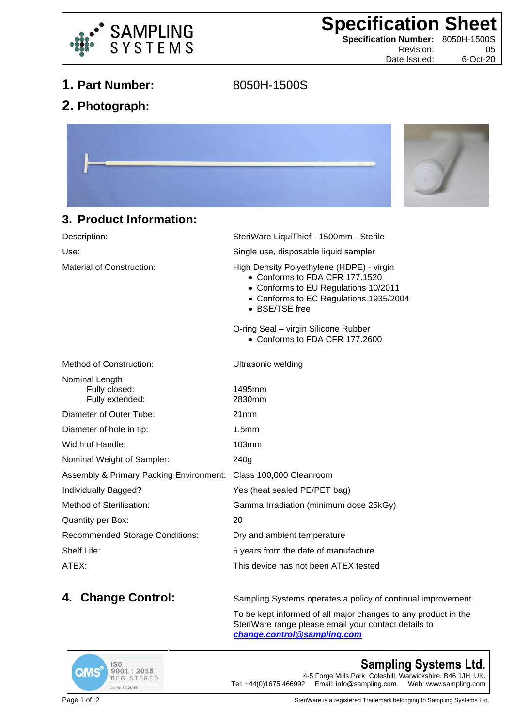

**Specification Sheet**

**Specification Number:** 8050H-1500S Revision: 05

Date Issued: 6-Oct-20

## **1. Part Number:** 8050H-1500S

**2. Photograph:**



## **3. Product Information:**

| Description:                                                    | SteriWare LiquiThief - 1500mm - Sterile                                                                                                                                         |
|-----------------------------------------------------------------|---------------------------------------------------------------------------------------------------------------------------------------------------------------------------------|
| Use:                                                            | Single use, disposable liquid sampler                                                                                                                                           |
| Material of Construction:                                       | High Density Polyethylene (HDPE) - virgin<br>• Conforms to FDA CFR 177.1520<br>• Conforms to EU Regulations 10/2011<br>• Conforms to EC Regulations 1935/2004<br>• BSE/TSE free |
|                                                                 | O-ring Seal - virgin Silicone Rubber<br>• Conforms to FDA CFR 177,2600                                                                                                          |
| <b>Method of Construction:</b>                                  | Ultrasonic welding                                                                                                                                                              |
| Nominal Length<br>Fully closed:<br>Fully extended:              | 1495mm<br>2830mm                                                                                                                                                                |
| Diameter of Outer Tube:                                         | 21mm                                                                                                                                                                            |
| Diameter of hole in tip:                                        | 1.5 <sub>mm</sub>                                                                                                                                                               |
| Width of Handle:                                                | 103mm                                                                                                                                                                           |
| Nominal Weight of Sampler:                                      | 240g                                                                                                                                                                            |
| Assembly & Primary Packing Environment: Class 100,000 Cleanroom |                                                                                                                                                                                 |
| Individually Bagged?                                            | Yes (heat sealed PE/PET bag)                                                                                                                                                    |
| Method of Sterilisation:                                        | Gamma Irradiation (minimum dose 25kGy)                                                                                                                                          |
| Quantity per Box:                                               | 20                                                                                                                                                                              |
| <b>Recommended Storage Conditions:</b>                          | Dry and ambient temperature                                                                                                                                                     |
| Shelf Life:                                                     | 5 years from the date of manufacture                                                                                                                                            |
| ATEX:                                                           | This device has not been ATEX tested                                                                                                                                            |
|                                                                 |                                                                                                                                                                                 |

**4. Change Control:** Sampling Systems operates a policy of continual improvement.

To be kept informed of all major changes to any product in the SteriWare range please email your contact details to *[change.control@sampling.com](mailto:change.control@sampling.com)*



## **Sampling Systems Ltd.**

4-5 Forge Mills Park, Coleshill. Warwickshire. B46 1JH. UK.<br>Tel: +44(0)1675 466992 Email: info@sampling.com Web: www.sampling.com Email: info@sampling.com